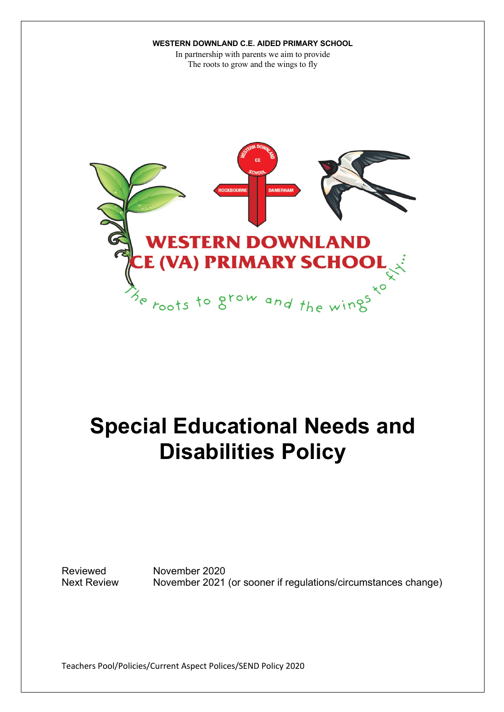In partnership with parents we aim to provide The roots to grow and the wings to fly



# **Special Educational Needs and Disabilities Policy**

Reviewed November 2020 Next Review November 2021 (or sooner if regulations/circumstances change)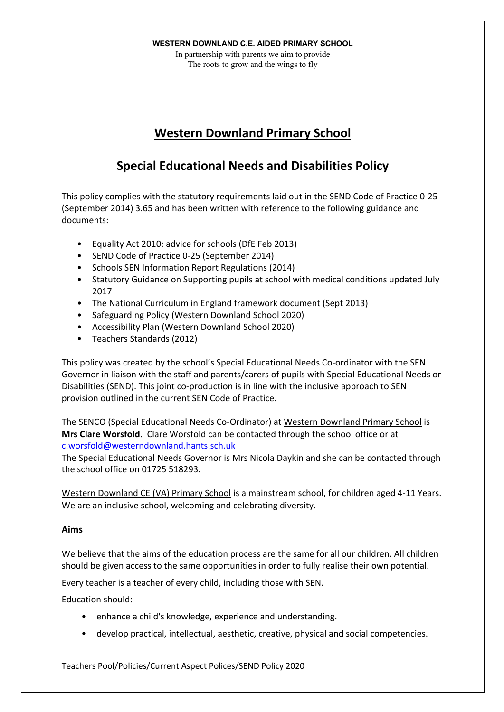In partnership with parents we aim to provide The roots to grow and the wings to fly

# **Western Downland Primary School**

# **Special Educational Needs and Disabilities Policy**

This policy complies with the statutory requirements laid out in the SEND Code of Practice 0-25 (September 2014) 3.65 and has been written with reference to the following guidance and documents:

- Equality Act 2010: advice for schools (DfE Feb 2013)
- SEND Code of Practice 0-25 (September 2014)
- Schools SEN Information Report Regulations (2014)
- Statutory Guidance on Supporting pupils at school with medical conditions updated July 2017
- The National Curriculum in England framework document (Sept 2013)
- Safeguarding Policy (Western Downland School 2020)
- Accessibility Plan (Western Downland School 2020)
- Teachers Standards (2012)

This policy was created by the school's Special Educational Needs Co-ordinator with the SEN Governor in liaison with the staff and parents/carers of pupils with Special Educational Needs or Disabilities (SEND). This joint co-production is in line with the inclusive approach to SEN provision outlined in the current SEN Code of Practice.

The SENCO (Special Educational Needs Co-Ordinator) at Western Downland Primary School is **Mrs Clare Worsfold.** Clare Worsfold can be contacted through the school office or at c.worsfold@westerndownland.hants.sch.uk

The Special Educational Needs Governor is Mrs Nicola Daykin and she can be contacted through the school office on 01725 518293.

Western Downland CE (VA) Primary School is a mainstream school, for children aged 4-11 Years. We are an inclusive school, welcoming and celebrating diversity.

# **Aims**

We believe that the aims of the education process are the same for all our children. All children should be given access to the same opportunities in order to fully realise their own potential.

Every teacher is a teacher of every child, including those with SEN.

Education should:-

- enhance a child's knowledge, experience and understanding.
- develop practical, intellectual, aesthetic, creative, physical and social competencies.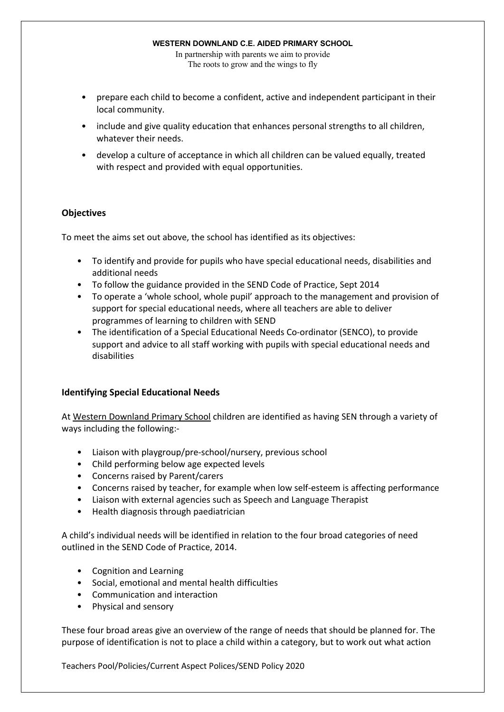In partnership with parents we aim to provide The roots to grow and the wings to fly

- prepare each child to become a confident, active and independent participant in their local community.
- include and give quality education that enhances personal strengths to all children, whatever their needs.
- develop a culture of acceptance in which all children can be valued equally, treated with respect and provided with equal opportunities.

# **Objectives**

To meet the aims set out above, the school has identified as its objectives:

- To identify and provide for pupils who have special educational needs, disabilities and additional needs
- To follow the guidance provided in the SEND Code of Practice, Sept 2014
- To operate a 'whole school, whole pupil' approach to the management and provision of support for special educational needs, where all teachers are able to deliver programmes of learning to children with SEND
- The identification of a Special Educational Needs Co-ordinator (SENCO), to provide support and advice to all staff working with pupils with special educational needs and disabilities

# **Identifying Special Educational Needs**

At Western Downland Primary School children are identified as having SEN through a variety of ways including the following:-

- Liaison with playgroup/pre-school/nursery, previous school
- Child performing below age expected levels
- Concerns raised by Parent/carers
- Concerns raised by teacher, for example when low self-esteem is affecting performance
- Liaison with external agencies such as Speech and Language Therapist
- Health diagnosis through paediatrician

A child's individual needs will be identified in relation to the four broad categories of need outlined in the SEND Code of Practice, 2014.

- Cognition and Learning
- Social, emotional and mental health difficulties
- Communication and interaction
- Physical and sensory

These four broad areas give an overview of the range of needs that should be planned for. The purpose of identification is not to place a child within a category, but to work out what action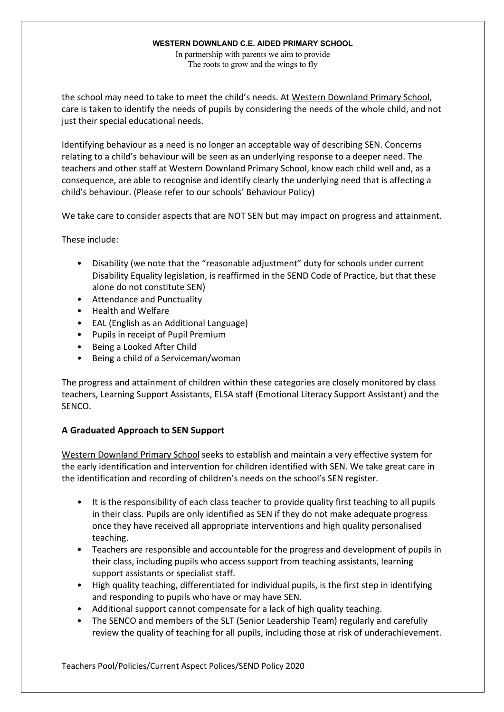In partnership with parents we aim to provide The roots to grow and the wings to fly

the school may need to take to meet the child's needs. At Western Downland Primary School, care is taken to identify the needs of pupils by considering the needs of the whole child, and not just their special educational needs.

Identifying behaviour as a need is no longer an acceptable way of describing SEN. Concerns relating to a child's behaviour will be seen as an underlying response to a deeper need. The teachers and other staff at Western Downland Primary School, know each child well and, as a consequence, are able to recognise and identify clearly the underlying need that is affecting a child's behaviour. (Please refer to our schools' Behaviour Policy)

We take care to consider aspects that are NOT SEN but may impact on progress and attainment.

These include:

- Disability (we note that the "reasonable adjustment" duty for schools under current Disability Equality legislation, is reaffirmed in the SEND Code of Practice, but that these alone do not constitute SEN)
- Attendance and Punctuality
- Health and Welfare
- EAL (English as an Additional Language)
- Pupils in receipt of Pupil Premium
- Being a Looked After Child
- Being a child of a Serviceman/woman

The progress and attainment of children within these categories are closely monitored by class teachers, Learning Support Assistants, ELSA staff (Emotional Literacy Support Assistant) and the SENCO.

# **A Graduated Approach to SEN Support**

Western Downland Primary School seeks to establish and maintain a very effective system for the early identification and intervention for children identified with SEN. We take great care in the identification and recording of children's needs on the school's SEN register.

- It is the responsibility of each class teacher to provide quality first teaching to all pupils in their class. Pupils are only identified as SEN if they do not make adequate progress once they have received all appropriate interventions and high quality personalised teaching.
- Teachers are responsible and accountable for the progress and development of pupils in their class, including pupils who access support from teaching assistants, learning support assistants or specialist staff.
- High quality teaching, differentiated for individual pupils, is the first step in identifying and responding to pupils who have or may have SEN.
- Additional support cannot compensate for a lack of high quality teaching.
- The SENCO and members of the SLT (Senior Leadership Team) regularly and carefully review the quality of teaching for all pupils, including those at risk of underachievement.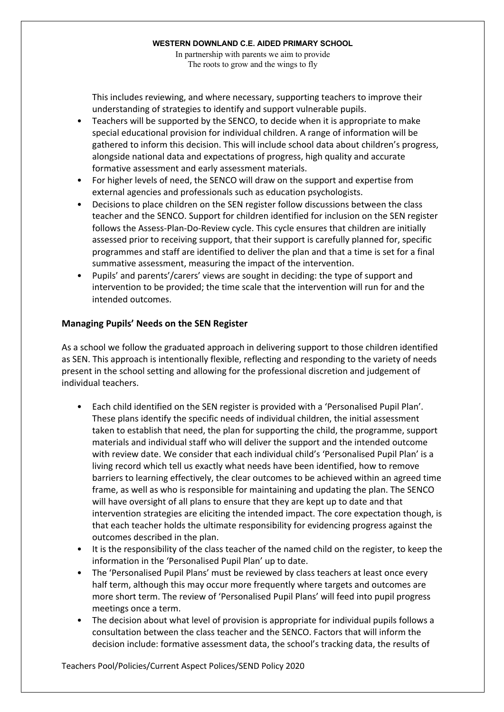In partnership with parents we aim to provide The roots to grow and the wings to fly

This includes reviewing, and where necessary, supporting teachers to improve their understanding of strategies to identify and support vulnerable pupils.

- Teachers will be supported by the SENCO, to decide when it is appropriate to make special educational provision for individual children. A range of information will be gathered to inform this decision. This will include school data about children's progress, alongside national data and expectations of progress, high quality and accurate formative assessment and early assessment materials.
- For higher levels of need, the SENCO will draw on the support and expertise from external agencies and professionals such as education psychologists.
- Decisions to place children on the SEN register follow discussions between the class teacher and the SENCO. Support for children identified for inclusion on the SEN register follows the Assess-Plan-Do-Review cycle. This cycle ensures that children are initially assessed prior to receiving support, that their support is carefully planned for, specific programmes and staff are identified to deliver the plan and that a time is set for a final summative assessment, measuring the impact of the intervention.
- Pupils' and parents'/carers' views are sought in deciding: the type of support and intervention to be provided; the time scale that the intervention will run for and the intended outcomes.

# **Managing Pupils' Needs on the SEN Register**

As a school we follow the graduated approach in delivering support to those children identified as SEN. This approach is intentionally flexible, reflecting and responding to the variety of needs present in the school setting and allowing for the professional discretion and judgement of individual teachers.

- Each child identified on the SEN register is provided with a 'Personalised Pupil Plan'. These plans identify the specific needs of individual children, the initial assessment taken to establish that need, the plan for supporting the child, the programme, support materials and individual staff who will deliver the support and the intended outcome with review date. We consider that each individual child's 'Personalised Pupil Plan' is a living record which tell us exactly what needs have been identified, how to remove barriers to learning effectively, the clear outcomes to be achieved within an agreed time frame, as well as who is responsible for maintaining and updating the plan. The SENCO will have oversight of all plans to ensure that they are kept up to date and that intervention strategies are eliciting the intended impact. The core expectation though, is that each teacher holds the ultimate responsibility for evidencing progress against the outcomes described in the plan.
- It is the responsibility of the class teacher of the named child on the register, to keep the information in the 'Personalised Pupil Plan' up to date.
- The 'Personalised Pupil Plans' must be reviewed by class teachers at least once every half term, although this may occur more frequently where targets and outcomes are more short term. The review of 'Personalised Pupil Plans' will feed into pupil progress meetings once a term.
- The decision about what level of provision is appropriate for individual pupils follows a consultation between the class teacher and the SENCO. Factors that will inform the decision include: formative assessment data, the school's tracking data, the results of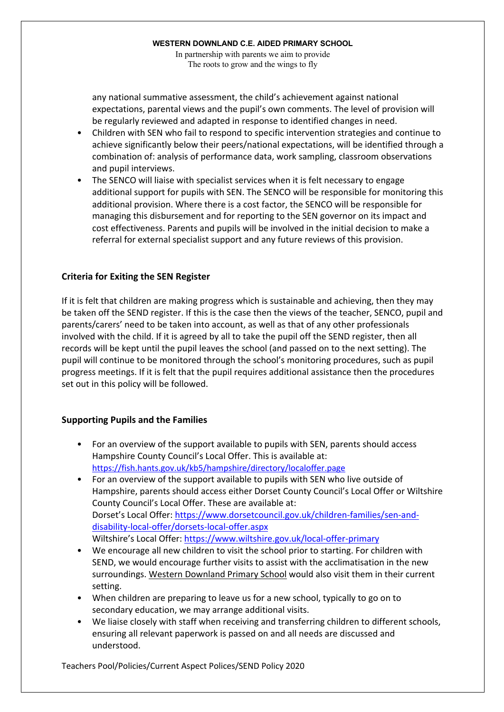In partnership with parents we aim to provide The roots to grow and the wings to fly

any national summative assessment, the child's achievement against national expectations, parental views and the pupil's own comments. The level of provision will be regularly reviewed and adapted in response to identified changes in need.

- Children with SEN who fail to respond to specific intervention strategies and continue to achieve significantly below their peers/national expectations, will be identified through a combination of: analysis of performance data, work sampling, classroom observations and pupil interviews.
- The SENCO will liaise with specialist services when it is felt necessary to engage additional support for pupils with SEN. The SENCO will be responsible for monitoring this additional provision. Where there is a cost factor, the SENCO will be responsible for managing this disbursement and for reporting to the SEN governor on its impact and cost effectiveness. Parents and pupils will be involved in the initial decision to make a referral for external specialist support and any future reviews of this provision.

# **Criteria for Exiting the SEN Register**

If it is felt that children are making progress which is sustainable and achieving, then they may be taken off the SEND register. If this is the case then the views of the teacher, SENCO, pupil and parents/carers' need to be taken into account, as well as that of any other professionals involved with the child. If it is agreed by all to take the pupil off the SEND register, then all records will be kept until the pupil leaves the school (and passed on to the next setting). The pupil will continue to be monitored through the school's monitoring procedures, such as pupil progress meetings. If it is felt that the pupil requires additional assistance then the procedures set out in this policy will be followed.

# **Supporting Pupils and the Families**

- For an overview of the support available to pupils with SEN, parents should access Hampshire County Council's Local Offer. This is available at: https://fish.hants.gov.uk/kb5/hampshire/directory/localoffer.page
- For an overview of the support available to pupils with SEN who live outside of Hampshire, parents should access either Dorset County Council's Local Offer or Wiltshire County Council's Local Offer. These are available at: Dorset's Local Offer: https://www.dorsetcouncil.gov.uk/children-families/sen-anddisability-local-offer/dorsets-local-offer.aspx Wiltshire's Local Offer: https://www.wiltshire.gov.uk/local-offer-primary
- We encourage all new children to visit the school prior to starting. For children with SEND, we would encourage further visits to assist with the acclimatisation in the new surroundings. Western Downland Primary School would also visit them in their current setting.
- When children are preparing to leave us for a new school, typically to go on to secondary education, we may arrange additional visits.
- We liaise closely with staff when receiving and transferring children to different schools, ensuring all relevant paperwork is passed on and all needs are discussed and understood.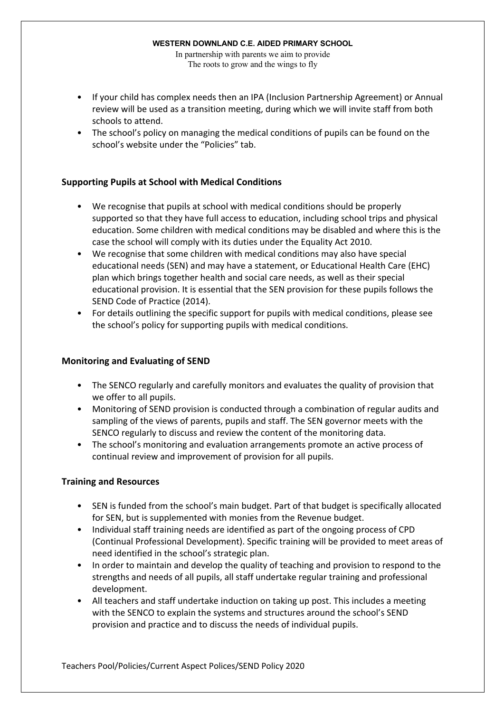In partnership with parents we aim to provide The roots to grow and the wings to fly

- If your child has complex needs then an IPA (Inclusion Partnership Agreement) or Annual review will be used as a transition meeting, during which we will invite staff from both schools to attend.
- The school's policy on managing the medical conditions of pupils can be found on the school's website under the "Policies" tab.

# **Supporting Pupils at School with Medical Conditions**

- We recognise that pupils at school with medical conditions should be properly supported so that they have full access to education, including school trips and physical education. Some children with medical conditions may be disabled and where this is the case the school will comply with its duties under the Equality Act 2010.
- We recognise that some children with medical conditions may also have special educational needs (SEN) and may have a statement, or Educational Health Care (EHC) plan which brings together health and social care needs, as well as their special educational provision. It is essential that the SEN provision for these pupils follows the SEND Code of Practice (2014).
- For details outlining the specific support for pupils with medical conditions, please see the school's policy for supporting pupils with medical conditions.

# **Monitoring and Evaluating of SEND**

- The SENCO regularly and carefully monitors and evaluates the quality of provision that we offer to all pupils.
- Monitoring of SEND provision is conducted through a combination of regular audits and sampling of the views of parents, pupils and staff. The SEN governor meets with the SENCO regularly to discuss and review the content of the monitoring data.
- The school's monitoring and evaluation arrangements promote an active process of continual review and improvement of provision for all pupils.

# **Training and Resources**

- SEN is funded from the school's main budget. Part of that budget is specifically allocated for SEN, but is supplemented with monies from the Revenue budget.
- Individual staff training needs are identified as part of the ongoing process of CPD (Continual Professional Development). Specific training will be provided to meet areas of need identified in the school's strategic plan.
- In order to maintain and develop the quality of teaching and provision to respond to the strengths and needs of all pupils, all staff undertake regular training and professional development.
- All teachers and staff undertake induction on taking up post. This includes a meeting with the SENCO to explain the systems and structures around the school's SEND provision and practice and to discuss the needs of individual pupils.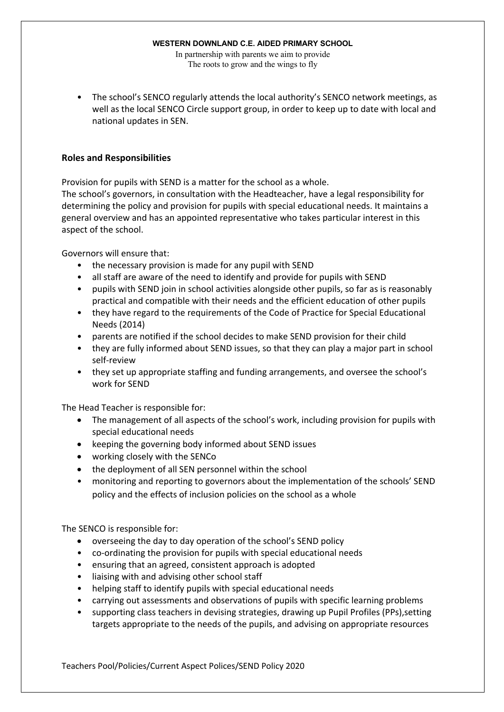In partnership with parents we aim to provide The roots to grow and the wings to fly

• The school's SENCO regularly attends the local authority's SENCO network meetings, as well as the local SENCO Circle support group, in order to keep up to date with local and national updates in SEN.

# **Roles and Responsibilities**

Provision for pupils with SEND is a matter for the school as a whole.

The school's governors, in consultation with the Headteacher, have a legal responsibility for determining the policy and provision for pupils with special educational needs. It maintains a general overview and has an appointed representative who takes particular interest in this aspect of the school.

Governors will ensure that:

- the necessary provision is made for any pupil with SEND
- all staff are aware of the need to identify and provide for pupils with SEND
- pupils with SEND join in school activities alongside other pupils, so far as is reasonably practical and compatible with their needs and the efficient education of other pupils
- they have regard to the requirements of the Code of Practice for Special Educational Needs (2014)
- parents are notified if the school decides to make SEND provision for their child
- they are fully informed about SEND issues, so that they can play a major part in school self-review
- they set up appropriate staffing and funding arrangements, and oversee the school's work for SEND

The Head Teacher is responsible for:

- The management of all aspects of the school's work, including provision for pupils with special educational needs
- keeping the governing body informed about SEND issues
- working closely with the SENCo
- the deployment of all SEN personnel within the school
- monitoring and reporting to governors about the implementation of the schools' SEND policy and the effects of inclusion policies on the school as a whole

The SENCO is responsible for:

- overseeing the day to day operation of the school's SEND policy
- co-ordinating the provision for pupils with special educational needs
- ensuring that an agreed, consistent approach is adopted
- liaising with and advising other school staff
- helping staff to identify pupils with special educational needs
- carrying out assessments and observations of pupils with specific learning problems
- supporting class teachers in devising strategies, drawing up Pupil Profiles (PPs),setting targets appropriate to the needs of the pupils, and advising on appropriate resources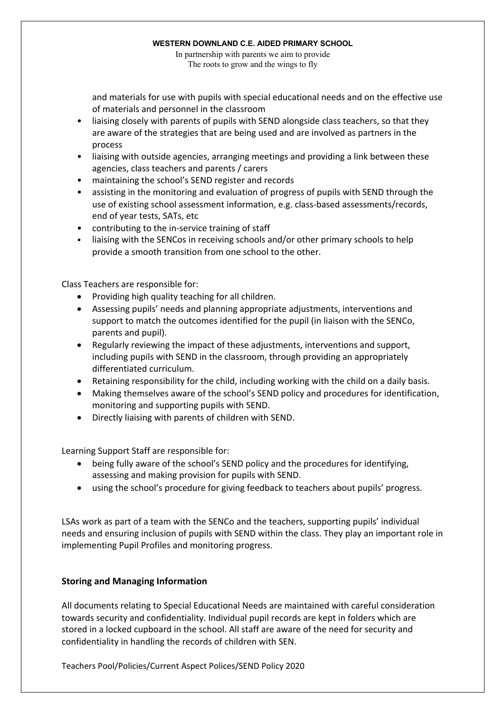In partnership with parents we aim to provide The roots to grow and the wings to fly

and materials for use with pupils with special educational needs and on the effective use of materials and personnel in the classroom

- liaising closely with parents of pupils with SEND alongside class teachers, so that they are aware of the strategies that are being used and are involved as partners in the process
- liaising with outside agencies, arranging meetings and providing a link between these agencies, class teachers and parents / carers
- maintaining the school's SEND register and records
- assisting in the monitoring and evaluation of progress of pupils with SEND through the use of existing school assessment information, e.g. class-based assessments/records, end of year tests, SATs, etc
- contributing to the in-service training of staff
- liaising with the SENCos in receiving schools and/or other primary schools to help provide a smooth transition from one school to the other.

Class Teachers are responsible for:

- Providing high quality teaching for all children.
- Assessing pupils' needs and planning appropriate adjustments, interventions and support to match the outcomes identified for the pupil (in liaison with the SENCo, parents and pupil).
- Regularly reviewing the impact of these adjustments, interventions and support, including pupils with SEND in the classroom, through providing an appropriately differentiated curriculum.
- Retaining responsibility for the child, including working with the child on a daily basis.
- Making themselves aware of the school's SEND policy and procedures for identification, monitoring and supporting pupils with SEND.
- Directly liaising with parents of children with SEND.

Learning Support Staff are responsible for:

- being fully aware of the school's SEND policy and the procedures for identifying, assessing and making provision for pupils with SEND.
- using the school's procedure for giving feedback to teachers about pupils' progress.

LSAs work as part of a team with the SENCo and the teachers, supporting pupils' individual needs and ensuring inclusion of pupils with SEND within the class. They play an important role in implementing Pupil Profiles and monitoring progress.

# **Storing and Managing Information**

All documents relating to Special Educational Needs are maintained with careful consideration towards security and confidentiality. Individual pupil records are kept in folders which are stored in a locked cupboard in the school. All staff are aware of the need for security and confidentiality in handling the records of children with SEN.